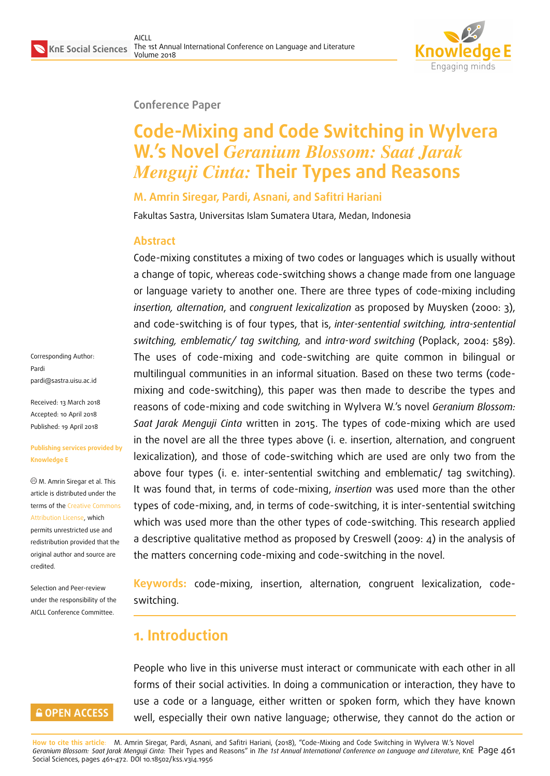

#### **Conference Paper**

# **Code-Mixing and Code Switching in Wylvera W.'s Novel** *Geranium Blossom: Saat Jarak Menguji Cinta:* **Their Types and Reasons**

#### **M. Amrin Siregar, Pardi, Asnani, and Safitri Hariani**

Fakultas Sastra, Universitas Islam Sumatera Utara, Medan, Indonesia

#### **Abstract**

Code-mixing constitutes a mixing of two codes or languages which is usually without a change of topic, whereas code-switching shows a change made from one language or language variety to another one. There are three types of code-mixing including *insertion, alternation*, and *congruent lexicalization* as proposed by Muysken (2000: 3), and code-switching is of four types, that is, *inter-sentential switching, intra-sentential switching, emblematic/ tag switching,* and *intra-word switching* (Poplack, 2004: 589). The uses of code-mixing and code-switching are quite common in bilingual or multilingual communities in an informal situation. Based on these two terms (codemixing and code-switching), this paper was then made to describe the types and reasons of code-mixing and code switching in Wylvera W.'s novel *Geranium Blossom: Saat Jarak Menguji Cinta* written in 2015. The types of code-mixing which are used in the novel are all the three types above (i. e. insertion, alternation, and congruent lexicalization), and those of code-switching which are used are only two from the above four types (i. e. inter-sentential switching and emblematic/ tag switching). It was found that, in terms of code-mixing, *insertion* was used more than the other types of code-mixing, and, in terms of code-switching, it is inter-sentential switching which was used more than the other types of code-switching. This research applied a descriptive qualitative method as proposed by Creswell (2009: 4) in the analysis of the matters concerning code-mixing and code-switching in the novel.

**Keywords:** code-mixing, insertion, alternation, congruent lexicalization, codeswitching.

## **1. Introduction**

People who live in this universe must interact or communicate with each other in all forms of their social activities. In doing a communication or interaction, they have to use a code or a language, either written or spoken form, which they have known well, especially their own native language; otherwise, they cannot do the action or

Corresponding Author: Pardi pardi@sastra.uisu.ac.id

Received: 13 March 2018 Accepted: 10 April 2018 [Published: 19 April 2018](mailto:pardi@sastra.uisu.ac.id)

#### **Publishing services provided by Knowledge E**

M. Amrin Siregar et al. This article is distributed under the terms of the Creative Commons Attribution License, which permits unrestricted use and redistribution provided that the original auth[or and source are](https://creativecommons.org/licenses/by/4.0/) [credited.](https://creativecommons.org/licenses/by/4.0/)

Selection and Peer-review under the responsibility of the AICLL Conference Committee.

### **GOPEN ACCESS**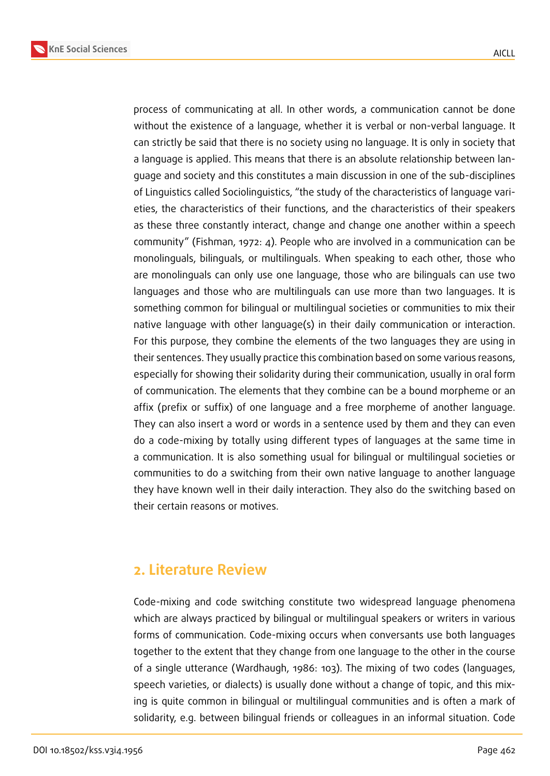

process of communicating at all. In other words, a communication cannot be done without the existence of a language, whether it is verbal or non-verbal language. It can strictly be said that there is no society using no language. It is only in society that a language is applied. This means that there is an absolute relationship between language and society and this constitutes a main discussion in one of the sub-disciplines of Linguistics called Sociolinguistics, "the study of the characteristics of language varieties, the characteristics of their functions, and the characteristics of their speakers as these three constantly interact, change and change one another within a speech community" (Fishman, 1972: 4). People who are involved in a communication can be monolinguals, bilinguals, or multilinguals. When speaking to each other, those who are monolinguals can only use one language, those who are bilinguals can use two languages and those who are multilinguals can use more than two languages. It is something common for bilingual or multilingual societies or communities to mix their native language with other language(s) in their daily communication or interaction. For this purpose, they combine the elements of the two languages they are using in their sentences. They usually practice this combination based on some various reasons, especially for showing their solidarity during their communication, usually in oral form of communication. The elements that they combine can be a bound morpheme or an affix (prefix or suffix) of one language and a free morpheme of another language. They can also insert a word or words in a sentence used by them and they can even do a code-mixing by totally using different types of languages at the same time in a communication. It is also something usual for bilingual or multilingual societies or communities to do a switching from their own native language to another language they have known well in their daily interaction. They also do the switching based on their certain reasons or motives.

## **2. Literature Review**

Code-mixing and code switching constitute two widespread language phenomena which are always practiced by bilingual or multilingual speakers or writers in various forms of communication. Code-mixing occurs when conversants use both languages together to the extent that they change from one language to the other in the course of a single utterance (Wardhaugh, 1986: 103). The mixing of two codes (languages, speech varieties, or dialects) is usually done without a change of topic, and this mixing is quite common in bilingual or multilingual communities and is often a mark of solidarity, e.g. between bilingual friends or colleagues in an informal situation. Code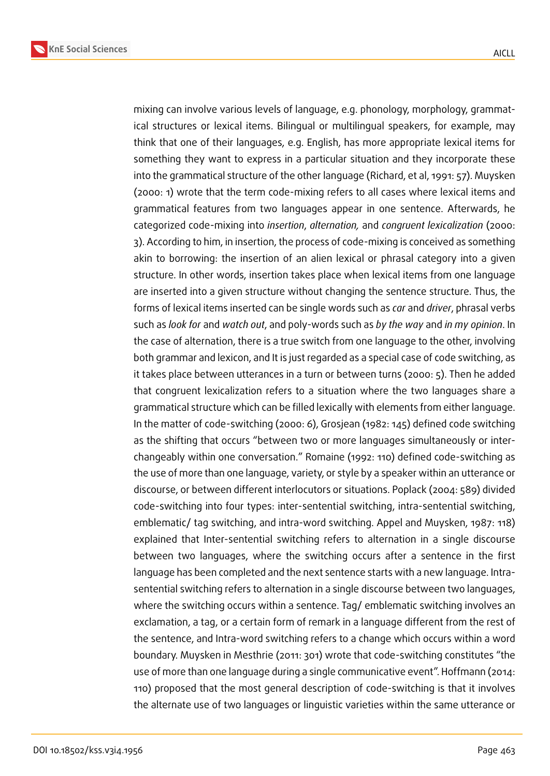



mixing can involve various levels of language, e.g. phonology, morphology, grammatical structures or lexical items. Bilingual or multilingual speakers, for example, may think that one of their languages, e.g. English, has more appropriate lexical items for something they want to express in a particular situation and they incorporate these into the grammatical structure of the other language (Richard, et al, 1991: 57). Muysken (2000: 1) wrote that the term code-mixing refers to all cases where lexical items and grammatical features from two languages appear in one sentence. Afterwards, he categorized code-mixing into *insertion*, *alternation,* and *congruent lexicalization* (2000: 3). According to him, in insertion, the process of code-mixing is conceived as something akin to borrowing: the insertion of an alien lexical or phrasal category into a given structure. In other words, insertion takes place when lexical items from one language are inserted into a given structure without changing the sentence structure. Thus, the forms of lexical items inserted can be single words such as *car* and *driver*, phrasal verbs such as *look for* and *watch out*, and poly-words such as *by the way* and *in my opinion*. In the case of alternation, there is a true switch from one language to the other, involving both grammar and lexicon, and It is just regarded as a special case of code switching, as it takes place between utterances in a turn or between turns (2000: 5). Then he added that congruent lexicalization refers to a situation where the two languages share a grammatical structure which can be filled lexically with elements from either language. In the matter of code-switching (2000: 6), Grosjean (1982: 145) defined code switching as the shifting that occurs "between two or more languages simultaneously or interchangeably within one conversation." Romaine (1992: 110) defined code-switching as the use of more than one language, variety, or style by a speaker within an utterance or discourse, or between different interlocutors or situations. Poplack (2004: 589) divided code-switching into four types: inter-sentential switching, intra-sentential switching, emblematic/ tag switching, and intra-word switching. Appel and Muysken, 1987: 118) explained that Inter-sentential switching refers to alternation in a single discourse between two languages, where the switching occurs after a sentence in the first language has been completed and the next sentence starts with a new language. Intrasentential switching refers to alternation in a single discourse between two languages, where the switching occurs within a sentence. Tag/ emblematic switching involves an exclamation, a tag, or a certain form of remark in a language different from the rest of the sentence, and Intra-word switching refers to a change which occurs within a word boundary. Muysken in Mesthrie (2011: 301) wrote that code-switching constitutes "the use of more than one language during a single communicative event". Hoffmann (2014: 110) proposed that the most general description of code-switching is that it involves the alternate use of two languages or linguistic varieties within the same utterance or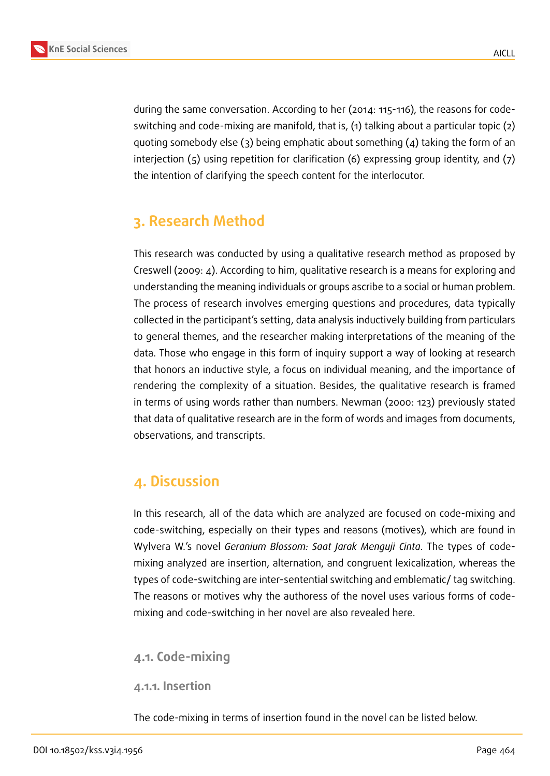

during the same conversation. According to her (2014: 115-116), the reasons for codeswitching and code-mixing are manifold, that is, (1) talking about a particular topic (2) quoting somebody else (3) being emphatic about something (4) taking the form of an interjection (5) using repetition for clarification (6) expressing group identity, and (7) the intention of clarifying the speech content for the interlocutor.

## **3. Research Method**

This research was conducted by using a qualitative research method as proposed by Creswell (2009: 4). According to him, qualitative research is a means for exploring and understanding the meaning individuals or groups ascribe to a social or human problem. The process of research involves emerging questions and procedures, data typically collected in the participant's setting, data analysis inductively building from particulars to general themes, and the researcher making interpretations of the meaning of the data. Those who engage in this form of inquiry support a way of looking at research that honors an inductive style, a focus on individual meaning, and the importance of rendering the complexity of a situation. Besides, the qualitative research is framed in terms of using words rather than numbers. Newman (2000: 123) previously stated that data of qualitative research are in the form of words and images from documents, observations, and transcripts.

## **4. Discussion**

In this research, all of the data which are analyzed are focused on code-mixing and code-switching, especially on their types and reasons (motives), which are found in Wylvera W.'s novel *Geranium Blossom: Saat Jarak Menguji Cinta*. The types of codemixing analyzed are insertion, alternation, and congruent lexicalization, whereas the types of code-switching are inter-sentential switching and emblematic/ tag switching. The reasons or motives why the authoress of the novel uses various forms of codemixing and code-switching in her novel are also revealed here.

### **4.1. Code-mixing**

#### **4.1.1. Insertion**

The code-mixing in terms of insertion found in the novel can be listed below.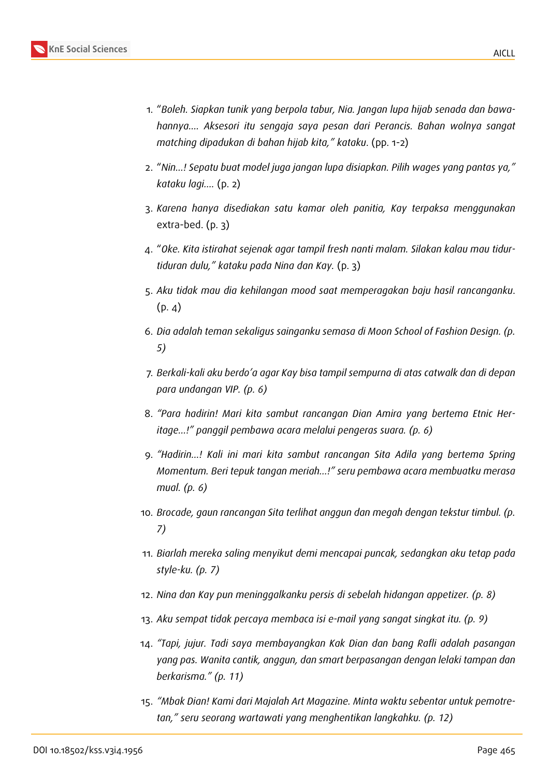

- 1. "*Boleh. Siapkan tunik yang berpola tabur, Nia. Jangan lupa hijab senada dan bawahannya…. Aksesori itu sengaja saya pesan dari Perancis. Bahan wolnya sangat matching dipadukan di bahan hijab kita," kataku*. (pp. 1-2)
- 2. "*Nin…! Sepatu buat model juga jangan lupa disiapkan. Pilih wages yang pantas ya," kataku lagi….* (p. 2)
- 3. *Karena hanya disediakan satu kamar oleh panitia, Kay terpaksa menggunakan* extra-bed. (p. 3)
- 4. "*Oke. Kita istirahat sejenak agar tampil fresh nanti malam. Silakan kalau mau tidurtiduran dulu," kataku pada Nina dan Kay.* (p. 3)
- 5. *Aku tidak mau dia kehilangan mood saat memperagakan baju hasil rancanganku*.  $(p. 4)$
- 6. *Dia adalah teman sekaligus sainganku semasa di Moon School of Fashion Design. (p. 5)*
- 7. *Berkali-kali aku berdo'a agar Kay bisa tampil sempurna di atas catwalk dan di depan para undangan VIP. (p. 6)*
- 8. *"Para hadirin! Mari kita sambut rancangan Dian Amira yang bertema Etnic Heritage…!" panggil pembawa acara melalui pengeras suara. (p. 6)*
- 9. *"Hadirin…! Kali ini mari kita sambut rancangan Sita Adila yang bertema Spring Momentum. Beri tepuk tangan meriah…!" seru pembawa acara membuatku merasa mual. (p. 6)*
- 10. *Brocade, gaun rancangan Sita terlihat anggun dan megah dengan tekstur timbul. (p. 7)*
- 11. *Biarlah mereka saling menyikut demi mencapai puncak, sedangkan aku tetap pada style-ku. (p. 7)*
- 12. *Nina dan Kay pun meninggalkanku persis di sebelah hidangan appetizer. (p. 8)*
- 13. *Aku sempat tidak percaya membaca isi e-mail yang sangat singkat itu. (p. 9)*
- 14. *"Tapi, jujur. Tadi saya membayangkan Kak Dian dan bang Rafli adalah pasangan yang pas. Wanita cantik, anggun, dan smart berpasangan dengan lelaki tampan dan berkarisma." (p. 11)*
- 15. *"Mbak Dian! Kami dari Majalah Art Magazine. Minta waktu sebentar untuk pemotretan," seru seorang wartawati yang menghentikan langkahku. (p. 12)*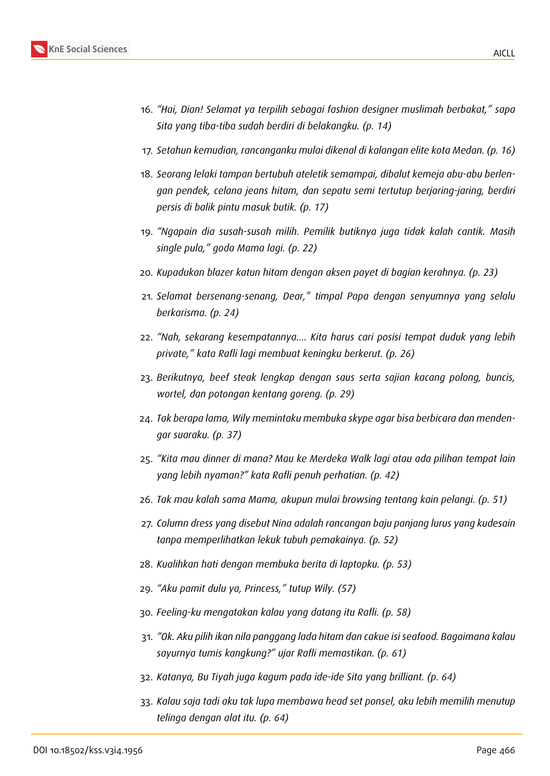- 16. *"Hai, Dian! Selamat ya terpilih sebagai fashion designer muslimah berbakat," sapa Sita yang tiba-tiba sudah berdiri di belakangku. (p. 14)*
- 17. *Setahun kemudian, rancanganku mulai dikenal di kalangan elite kota Medan. (p. 16)*
- 18. *Seorang lelaki tampan bertubuh ateletik semampai, dibalut kemeja abu-abu berlengan pendek, celana jeans hitam, dan sepatu semi tertutup berjaring-jaring, berdiri persis di balik pintu masuk butik. (p. 17)*
- 19. *"Ngapain dia susah-susah milih. Pemilik butiknya juga tidak kalah cantik. Masih single pula," goda Mama lagi. (p. 22)*
- 20. *Kupadukan blazer katun hitam dengan aksen payet di bagian kerahnya. (p. 23)*
- 21. *Selamat bersenang-senang, Dear," timpal Papa dengan senyumnya yang selalu berkarisma. (p. 24)*
- 22. *"Nah, sekarang kesempatannya…. Kita harus cari posisi tempat duduk yang lebih private," kata Rafli lagi membuat keningku berkerut. (p. 26)*
- 23. *Berikutnya, beef steak lengkap dengan saus serta sajian kacang polong, buncis, wortel, dan potongan kentang goreng. (p. 29)*
- 24. *Tak berapa lama, Wily memintaku membuka skype agar bisa berbicara dan mendengar suaraku. (p. 37)*
- 25. *"Kita mau dinner di mana? Mau ke Merdeka Walk lagi atau ada pilihan tempat lain yang lebih nyaman?" kata Rafli penuh perhatian. (p. 42)*
- 26. *Tak mau kalah sama Mama, akupun mulai browsing tentang kain pelangi. (p. 51)*
- 27. *Column dress yang disebut Nina adalah rancangan baju panjang lurus yang kudesain tanpa memperlihatkan lekuk tubuh pemakainya. (p. 52)*
- 28. *Kualihkan hati dengan membuka berita di laptopku. (p. 53)*
- 29. *"Aku pamit dulu ya, Princess," tutup Wily. (57)*
- 30. *Feeling-ku mengatakan kalau yang datang itu Rafli. (p. 58)*
- 31. *"Ok. Aku pilih ikan nila panggang lada hitam dan cakue isi seafood. Bagaimana kalau sayurnya tumis kangkung?" ujar Rafli memastikan. (p. 61)*
- 32. *Katanya, Bu Tiyah juga kagum pada ide-ide Sita yang brilliant. (p. 64)*
- 33. *Kalau saja tadi aku tak lupa membawa head set ponsel, aku lebih memilih menutup telinga dengan alat itu. (p. 64)*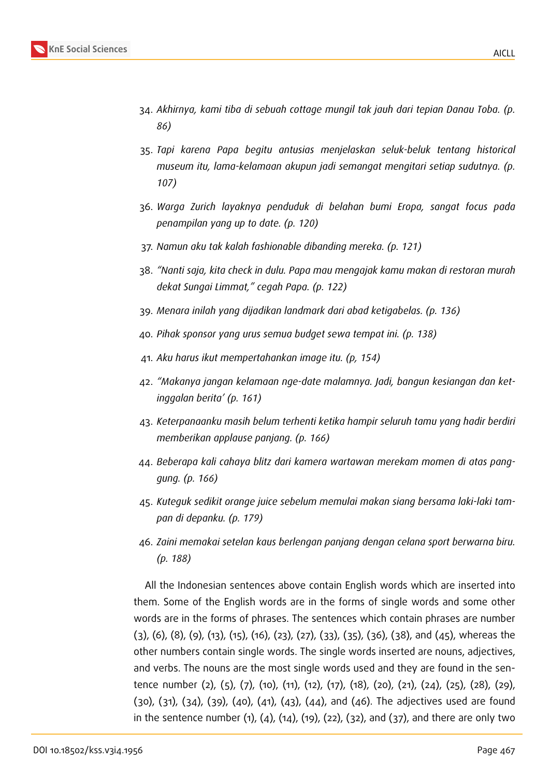

- 34. *Akhirnya, kami tiba di sebuah cottage mungil tak jauh dari tepian Danau Toba. (p. 86)*
- 35. *Tapi karena Papa begitu antusias menjelaskan seluk-beluk tentang historical museum itu, lama-kelamaan akupun jadi semangat mengitari setiap sudutnya. (p. 107)*
- 36. *Warga Zurich layaknya penduduk di belahan bumi Eropa, sangat focus pada penampilan yang up to date. (p. 120)*
- 37. *Namun aku tak kalah fashionable dibanding mereka. (p. 121)*
- 38. *"Nanti saja, kita check in dulu. Papa mau mengajak kamu makan di restoran murah dekat Sungai Limmat," cegah Papa. (p. 122)*
- 39. *Menara inilah yang dijadikan landmark dari abad ketigabelas. (p. 136)*
- 40. *Pihak sponsor yang urus semua budget sewa tempat ini. (p. 138)*
- 41. *Aku harus ikut mempertahankan image itu. (p, 154)*
- 42. *"Makanya jangan kelamaan nge-date malamnya. Jadi, bangun kesiangan dan ketinggalan berita' (p. 161)*
- 43. *Keterpanaanku masih belum terhenti ketika hampir seluruh tamu yang hadir berdiri memberikan applause panjang. (p. 166)*
- 44. *Beberapa kali cahaya blitz dari kamera wartawan merekam momen di atas panggung. (p. 166)*
- 45. *Kuteguk sedikit orange juice sebelum memulai makan siang bersama laki-laki tampan di depanku. (p. 179)*
- 46. *Zaini memakai setelan kaus berlengan panjang dengan celana sport berwarna biru. (p. 188)*

All the Indonesian sentences above contain English words which are inserted into them. Some of the English words are in the forms of single words and some other words are in the forms of phrases. The sentences which contain phrases are number (3), (6), (8), (9), (13), (15), (16), (23), (27), (33), (35), (36), (38), and (45), whereas the other numbers contain single words. The single words inserted are nouns, adjectives, and verbs. The nouns are the most single words used and they are found in the sentence number (2), (5), (7), (10), (11), (12), (17), (18), (20), (21), (24), (25), (28), (29), (30), (31), (34), (39), (40), (41), (43), (44), and (46). The adjectives used are found in the sentence number  $(1)$ ,  $(4)$ ,  $(14)$ ,  $(19)$ ,  $(22)$ ,  $(32)$ , and  $(37)$ , and there are only two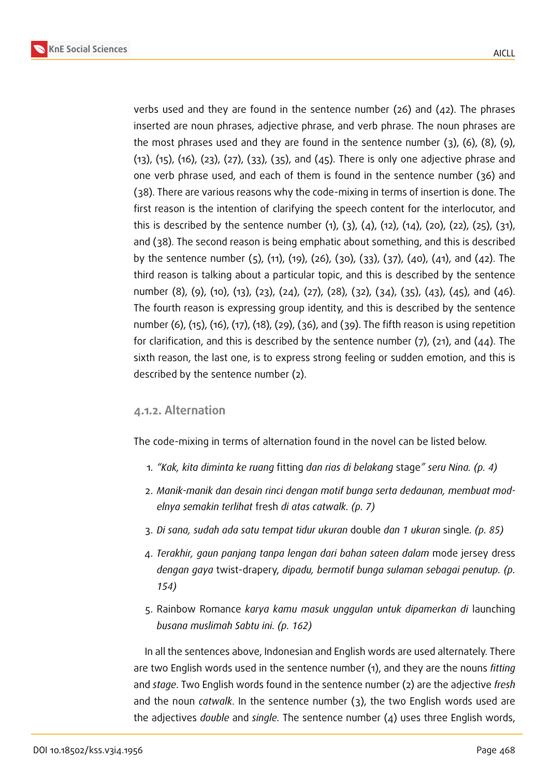

verbs used and they are found in the sentence number (26) and (42). The phrases inserted are noun phrases, adjective phrase, and verb phrase. The noun phrases are the most phrases used and they are found in the sentence number (3), (6), (8), (9), (13), (15), (16), (23), (27), (33), (35), and (45). There is only one adjective phrase and one verb phrase used, and each of them is found in the sentence number (36) and (38). There are various reasons why the code-mixing in terms of insertion is done. The first reason is the intention of clarifying the speech content for the interlocutor, and this is described by the sentence number  $(1)$ ,  $(3)$ ,  $(4)$ ,  $(12)$ ,  $(14)$ ,  $(20)$ ,  $(22)$ ,  $(25)$ ,  $(31)$ , and (38). The second reason is being emphatic about something, and this is described by the sentence number (5), (11), (19), (26), (30), (33), (37), (40), (41), and (42). The third reason is talking about a particular topic, and this is described by the sentence number (8), (9), (10), (13), (23), (24), (27), (28), (32), (34), (35), (43), (45), and (46). The fourth reason is expressing group identity, and this is described by the sentence number (6), (15), (16), (17), (18), (29), (36), and (39). The fifth reason is using repetition for clarification, and this is described by the sentence number  $(7)$ ,  $(21)$ , and  $(44)$ . The sixth reason, the last one, is to express strong feeling or sudden emotion, and this is described by the sentence number (2).

#### **4.1.2. Alternation**

The code-mixing in terms of alternation found in the novel can be listed below.

- 1. *"Kak, kita diminta ke ruang* fitting *dan rias di belakang* stage*" seru Nina. (p. 4)*
- 2. *Manik-manik dan desain rinci dengan motif bunga serta dedaunan, membuat modelnya semakin terlihat* fresh *di atas catwalk. (p. 7)*
- 3. *Di sana, sudah ada satu tempat tidur ukuran* double *dan 1 ukuran* single*. (p. 85)*
- 4. *Terakhir, gaun panjang tanpa lengan dari bahan sateen dalam* mode jersey dress *dengan gaya* twist-drapery, *dipadu, bermotif bunga sulaman sebagai penutup. (p. 154)*
- 5. Rainbow Romance *karya kamu masuk unggulan untuk dipamerkan di* launching *busana muslimah Sabtu ini. (p. 162)*

In all the sentences above, Indonesian and English words are used alternately. There are two English words used in the sentence number (1), and they are the nouns *fitting* and *stage*. Two English words found in the sentence number (2) are the adjective *fresh* and the noun *catwalk*. In the sentence number (3), the two English words used are the adjectives *double* and *single.* The sentence number (4) uses three English words,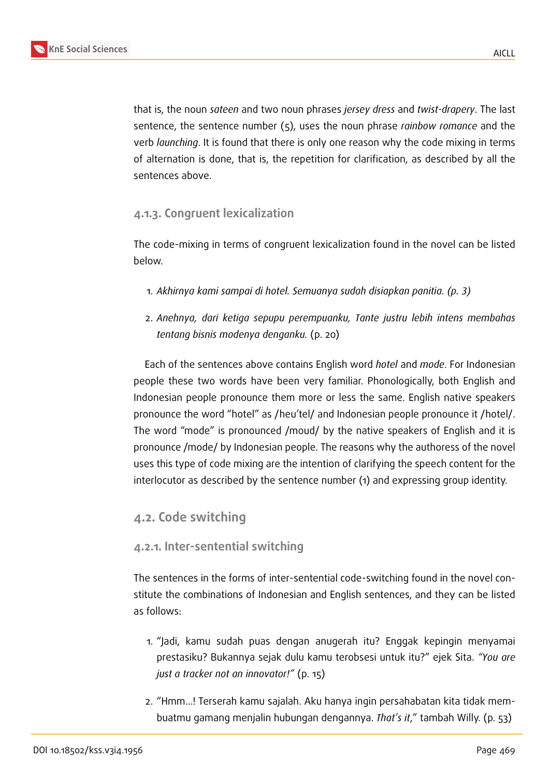that is, the noun *sateen* and two noun phrases *jersey dress* and *twist-drapery*. The last sentence, the sentence number (5), uses the noun phrase *rainbow romance* and the verb *launching*. It is found that there is only one reason why the code mixing in terms of alternation is done, that is, the repetition for clarification, as described by all the sentences above.

### **4.1.3. Congruent lexicalization**

The code-mixing in terms of congruent lexicalization found in the novel can be listed below.

- 1. *Akhirnya kami sampai di hotel. Semuanya sudah disiapkan panitia. (p. 3)*
- 2. *Anehnya, dari ketiga sepupu perempuanku, Tante justru lebih intens membahas tentang bisnis modenya denganku.* (p. 20)

Each of the sentences above contains English word *hotel* and *mode*. For Indonesian people these two words have been very familiar. Phonologically, both English and Indonesian people pronounce them more or less the same. English native speakers pronounce the word "hotel" as /heu'tel/ and Indonesian people pronounce it /hotel/. The word "mode" is pronounced /moud/ by the native speakers of English and it is pronounce /mode/ by Indonesian people. The reasons why the authoress of the novel uses this type of code mixing are the intention of clarifying the speech content for the interlocutor as described by the sentence number (1) and expressing group identity.

### **4.2. Code switching**

### **4.2.1. Inter-sentential switching**

The sentences in the forms of inter-sentential code-switching found in the novel constitute the combinations of Indonesian and English sentences, and they can be listed as follows:

- 1. "Jadi, kamu sudah puas dengan anugerah itu? Enggak kepingin menyamai prestasiku? Bukannya sejak dulu kamu terobsesi untuk itu?" ejek Sita. *"You are just a tracker not an innovator!"* (p. 15)
- 2. "Hmm…! Terserah kamu sajalah. Aku hanya ingin persahabatan kita tidak membuatmu gamang menjalin hubungan dengannya. *That's it*," tambah Willy. (p. 53)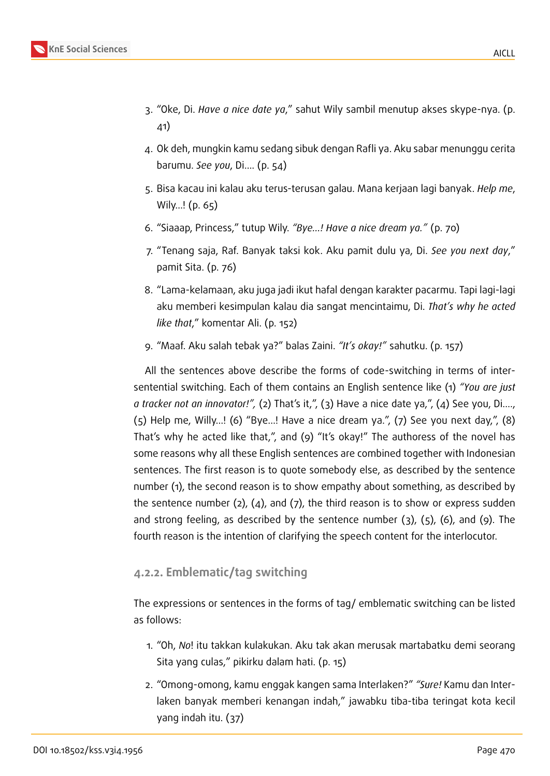

- 3. "Oke, Di. *Have a nice date ya*," sahut Wily sambil menutup akses skype-nya. (p. 41)
- 4. Ok deh, mungkin kamu sedang sibuk dengan Rafli ya. Aku sabar menunggu cerita barumu. *See you*, Di…. (p. 54)
- 5. Bisa kacau ini kalau aku terus-terusan galau. Mana kerjaan lagi banyak. *Help me*, Wily…! (p. 65)
- 6. "Siaaap, Princess," tutup Wily. *"Bye…! Have a nice dream ya."* (p. 70)
- 7. "Tenang saja, Raf. Banyak taksi kok. Aku pamit dulu ya, Di. *See you next day*," pamit Sita. (p. 76)
- 8. "Lama-kelamaan, aku juga jadi ikut hafal dengan karakter pacarmu. Tapi lagi-lagi aku memberi kesimpulan kalau dia sangat mencintaimu, Di. *That's why he acted like that*," komentar Ali. (p. 152)
- 9. "Maaf. Aku salah tebak ya?" balas Zaini. *"It's okay!"* sahutku. (p. 157)

All the sentences above describe the forms of code-switching in terms of intersentential switching. Each of them contains an English sentence like (1) *"You are just a tracker not an innovator!",* (2) That's it,", (3) Have a nice date ya,", (4) See you, Di…., (5) Help me, Willy…! (6) "Bye…! Have a nice dream ya.", (7) See you next day,", (8) That's why he acted like that,", and (9) "It's okay!" The authoress of the novel has some reasons why all these English sentences are combined together with Indonesian sentences. The first reason is to quote somebody else, as described by the sentence number (1), the second reason is to show empathy about something, as described by the sentence number (2), (4), and (7), the third reason is to show or express sudden and strong feeling, as described by the sentence number  $(3)$ ,  $(5)$ ,  $(6)$ , and  $(9)$ . The fourth reason is the intention of clarifying the speech content for the interlocutor.

### **4.2.2. Emblematic/tag switching**

The expressions or sentences in the forms of tag/ emblematic switching can be listed as follows:

- 1. "Oh, *No*! itu takkan kulakukan. Aku tak akan merusak martabatku demi seorang Sita yang culas," pikirku dalam hati. (p. 15)
- 2. "Omong-omong, kamu enggak kangen sama Interlaken?" *"Sure!* Kamu dan Interlaken banyak memberi kenangan indah," jawabku tiba-tiba teringat kota kecil yang indah itu. (37)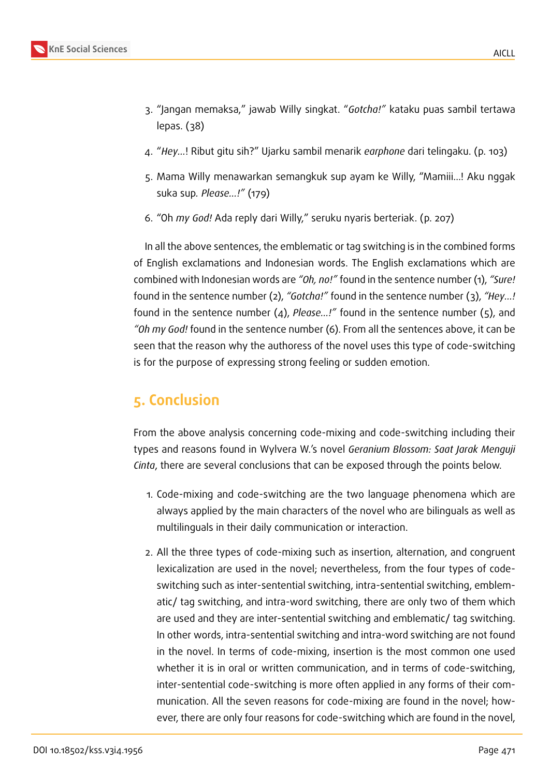- 3. "Jangan memaksa," jawab Willy singkat. "*Gotcha!"* kataku puas sambil tertawa lepas. (38)
- 4. "*Hey…*! Ribut gitu sih?" Ujarku sambil menarik *earphone* dari telingaku. (p. 103)
- 5. Mama Willy menawarkan semangkuk sup ayam ke Willy, "Mamiii…! Aku nggak suka sup*. Please…!"* (179)
- 6. "Oh *my God!* Ada reply dari Willy," seruku nyaris berteriak. (p. 207)

In all the above sentences, the emblematic or tag switching is in the combined forms of English exclamations and Indonesian words. The English exclamations which are combined with Indonesian words are *"Oh, no!"* found in the sentence number (1), *"Sure!* found in the sentence number (2), *"Gotcha!"* found in the sentence number (3), *"Hey…!* found in the sentence number (4), *Please…!"* found in the sentence number (5), and *"Oh my God!* found in the sentence number (6). From all the sentences above, it can be seen that the reason why the authoress of the novel uses this type of code-switching is for the purpose of expressing strong feeling or sudden emotion.

## **5. Conclusion**

From the above analysis concerning code-mixing and code-switching including their types and reasons found in Wylvera W.'s novel *Geranium Blossom: Saat Jarak Menguji Cinta*, there are several conclusions that can be exposed through the points below.

- 1. Code-mixing and code-switching are the two language phenomena which are always applied by the main characters of the novel who are bilinguals as well as multilinguals in their daily communication or interaction.
- 2. All the three types of code-mixing such as insertion, alternation, and congruent lexicalization are used in the novel; nevertheless, from the four types of codeswitching such as inter-sentential switching, intra-sentential switching, emblematic/ tag switching, and intra-word switching, there are only two of them which are used and they are inter-sentential switching and emblematic/ tag switching. In other words, intra-sentential switching and intra-word switching are not found in the novel. In terms of code-mixing, insertion is the most common one used whether it is in oral or written communication, and in terms of code-switching, inter-sentential code-switching is more often applied in any forms of their communication. All the seven reasons for code-mixing are found in the novel; however, there are only four reasons for code-switching which are found in the novel,